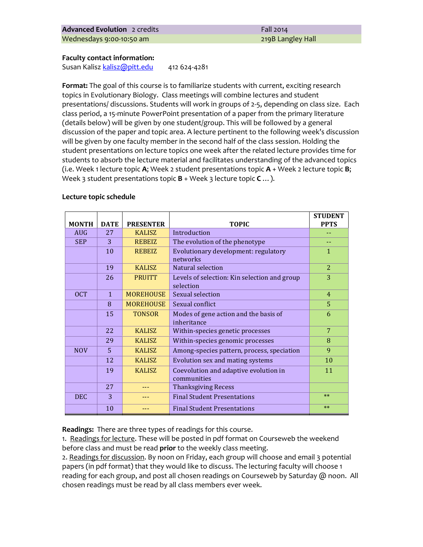### **Faculty contact information:**

Susan Kalisz kalisz@pitt.edu 412 624-4281

**Format:** The goal of this course is to familiarize students with current, exciting research topics in Evolutionary Biology. Class meetings will combine lectures and student presentations/ discussions. Students will work in groups of 2-5, depending on class size. Each class period, a 15-minute PowerPoint presentation of a paper from the primary literature (details below) will be given by one student/group. This will be followed by a general discussion of the paper and topic area. A lecture pertinent to the following week's discussion will be given by one faculty member in the second half of the class session. Holding the student presentations on lecture topics one week after the related lecture provides time for students to absorb the lecture material and facilitates understanding of the advanced topics (i.e. Week 1 lecture topic  $A$ ; Week 2 student presentations topic  $A$  + Week 2 lecture topic  $B$ ; Week 3 student presentations topic **B** + Week 3 lecture topic **C** ...).

#### Lecture topic schedule

| <b>MONTH</b> | <b>DATE</b> | <b>PRESENTER</b> | <b>TOPIC</b>                                              | <b>STUDENT</b><br><b>PPTS</b> |
|--------------|-------------|------------------|-----------------------------------------------------------|-------------------------------|
| <b>AUG</b>   | 27          | <b>KALISZ</b>    | Introduction                                              |                               |
| <b>SEP</b>   | 3           | <b>REBEIZ</b>    | The evolution of the phenotype                            |                               |
|              | 10          | <b>REBEIZ</b>    | Evolutionary development: regulatory<br>networks          | $\mathbf{1}$                  |
|              | 19          | <b>KALISZ</b>    | Natural selection                                         | $\overline{2}$                |
|              | 26          | <b>PRUITT</b>    | Levels of selection: Kin selection and group<br>selection | 3                             |
| <b>OCT</b>   | 1           | <b>MOREHOUSE</b> | Sexual selection                                          | $\overline{4}$                |
|              | 8           | <b>MOREHOUSE</b> | Sexual conflict                                           | 5                             |
|              | 15          | <b>TONSOR</b>    | Modes of gene action and the basis of<br>inheritance      | 6                             |
|              | 22          | <b>KALISZ</b>    | Within-species genetic processes                          | 7                             |
|              | 29          | <b>KALISZ</b>    | Within-species genomic processes                          | 8                             |
| <b>NOV</b>   | 5           | <b>KALISZ</b>    | Among-species pattern, process, speciation                | 9                             |
|              | 12          | <b>KALISZ</b>    | Evolution sex and mating systems                          | 10                            |
|              | 19          | <b>KALISZ</b>    | Coevolution and adaptive evolution in<br>communities      | 11                            |
|              | 27          |                  | <b>Thanksgiving Recess</b>                                |                               |
| <b>DEC</b>   | 3           |                  | <b>Final Student Presentations</b>                        | $**$                          |
|              | 10          |                  | <b>Final Student Presentations</b>                        | $**$                          |

**Readings:** There are three types of readings for this course.

1. Readings for lecture. These will be posted in pdf format on Courseweb the weekend before class and must be read **prior** to the weekly class meeting.

2. Readings for discussion. By noon on Friday, each group will choose and email 3 potential papers (in pdf format) that they would like to discuss. The lecturing faculty will choose 1 reading for each group, and post all chosen readings on Courseweb by Saturday @ noon. All chosen readings must be read by all class members ever week.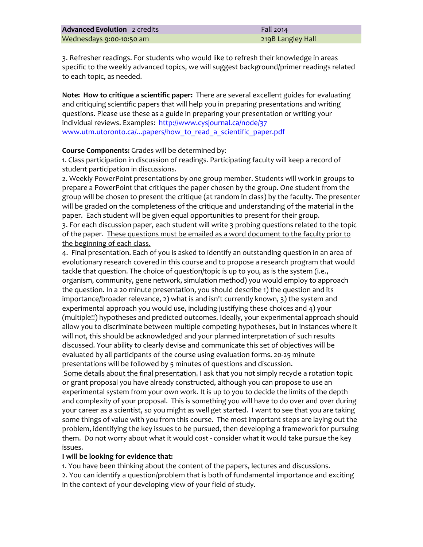3. Refresher readings. For students who would like to refresh their knowledge in areas specific to the weekly advanced topics, we will suggest background/primer readings related to each topic, as needed.

**Note: How to critique a scientific paper:** There are several excellent guides for evaluating and critiquing scientific papers that will help you in preparing presentations and writing questions. Please use these as a guide in preparing your presentation or writing your individual reviews. Examples: http://www.cysjournal.ca/node/37 www.utm.utoronto.ca/...papers/how to read a scientific paper.pdf

### **Course Components:** Grades will be determined by:

1. Class participation in discussion of readings. Participating faculty will keep a record of student participation in discussions.

2. Weekly PowerPoint presentations by one group member. Students will work in groups to prepare a PowerPoint that critiques the paper chosen by the group. One student from the group will be chosen to present the critique (at random in class) by the faculty. The presenter will be graded on the completeness of the critique and understanding of the material in the paper. Each student will be given equal opportunities to present for their group.

3. For each discussion paper, each student will write 3 probing questions related to the topic of the paper. These questions must be emailed as a word document to the faculty prior to the beginning of each class.

4. Final presentation. Each of you is asked to identify an outstanding question in an area of evolutionary research covered in this course and to propose a research program that would tackle that question. The choice of question/topic is up to you, as is the system (i.e., organism, community, gene network, simulation method) you would employ to approach the question. In a 20 minute presentation, you should describe 1) the question and its importance/broader relevance, 2) what is and isn't currently known, 3) the system and experimental approach you would use, including justifying these choices and 4) your (multiple!!) hypotheses and predicted outcomes. Ideally, your experimental approach should allow you to discriminate between multiple competing hypotheses, but in instances where it will not, this should be acknowledged and your planned interpretation of such results discussed. Your ability to clearly devise and communicate this set of objectives will be evaluated by all participants of the course using evaluation forms. 20-25 minute presentations will be followed by 5 minutes of questions and discussion. Some details about the final presentation. I ask that you not simply recycle a rotation topic or grant proposal you have already constructed, although you can propose to use an experimental system from your own work. It is up to you to decide the limits of the depth and complexity of your proposal. This is something you will have to do over and over during your career as a scientist, so you might as well get started. I want to see that you are taking some things of value with you from this course. The most important steps are laying out the

problem, identifying the key issues to be pursued, then developing a framework for pursuing them. Do not worry about what it would cost - consider what it would take pursue the key issues. 

# **I** will be looking for evidence that:

1. You have been thinking about the content of the papers, lectures and discussions. 2. You can identify a question/problem that is both of fundamental importance and exciting in the context of your developing view of your field of study.